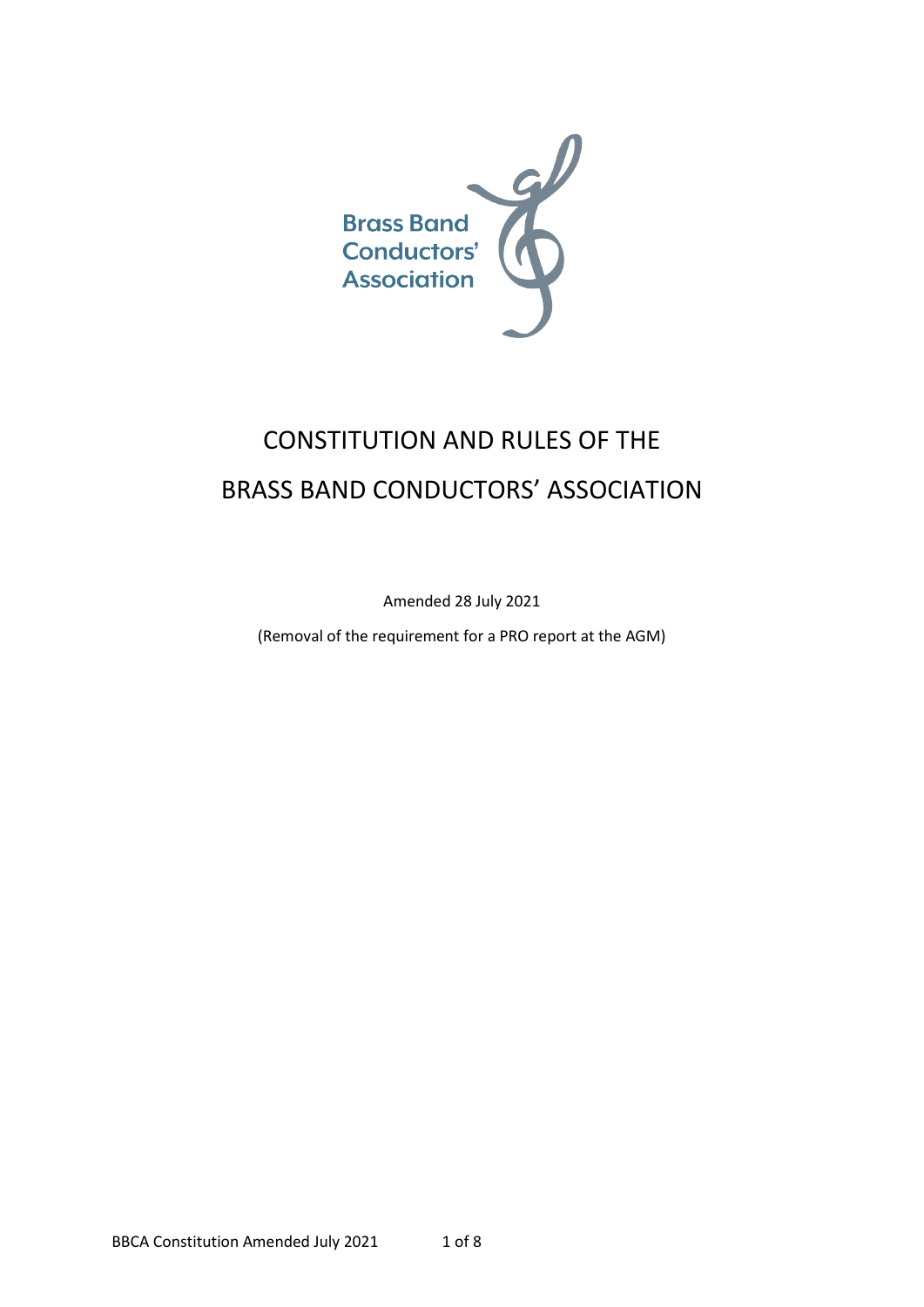

# CONSTITUTION AND RULES OF THE BRASS BAND CONDUCTORS' ASSOCIATION

Amended 28 July 2021

(Removal of the requirement for a PRO report at the AGM)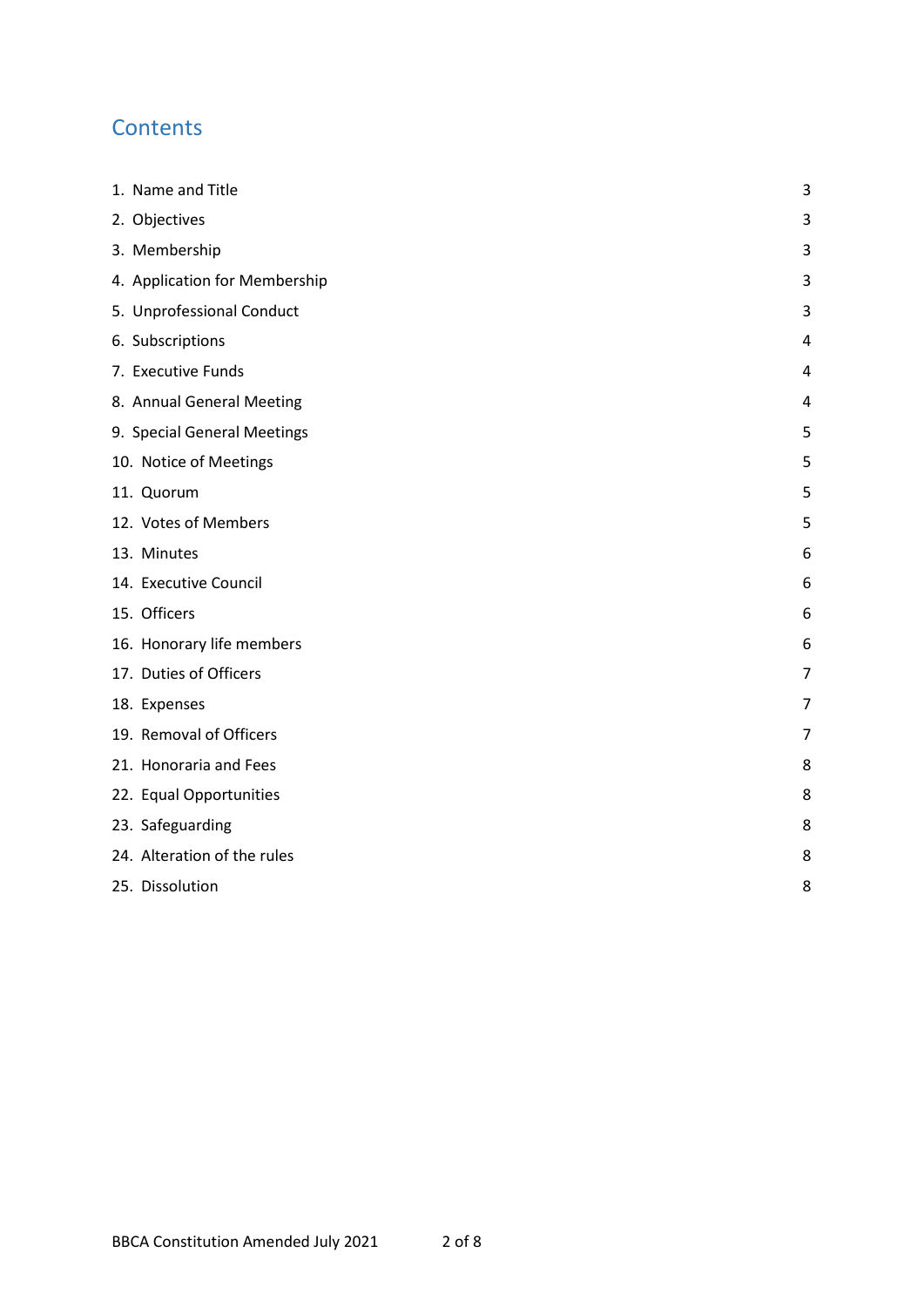# **Contents**

| 1. Name and Title             | 3              |
|-------------------------------|----------------|
| 2. Objectives                 | 3              |
| 3. Membership                 | 3              |
| 4. Application for Membership | 3              |
| 5. Unprofessional Conduct     | 3              |
| 6. Subscriptions              | $\overline{4}$ |
| 7. Executive Funds            | 4              |
| 8. Annual General Meeting     | 4              |
| 9. Special General Meetings   | 5              |
| 10. Notice of Meetings        | 5              |
| 11. Quorum                    | 5              |
| 12. Votes of Members          | 5              |
| 13. Minutes                   | 6              |
| 14. Executive Council         | 6              |
| 15. Officers                  | 6              |
| 16. Honorary life members     | 6              |
| 17. Duties of Officers        | 7              |
| 18. Expenses                  | 7              |
| 19. Removal of Officers       | 7              |
| 21. Honoraria and Fees        | 8              |
| 22. Equal Opportunities       | 8              |
| 23. Safeguarding              | 8              |
| 24. Alteration of the rules   | 8              |
| 25. Dissolution               | 8              |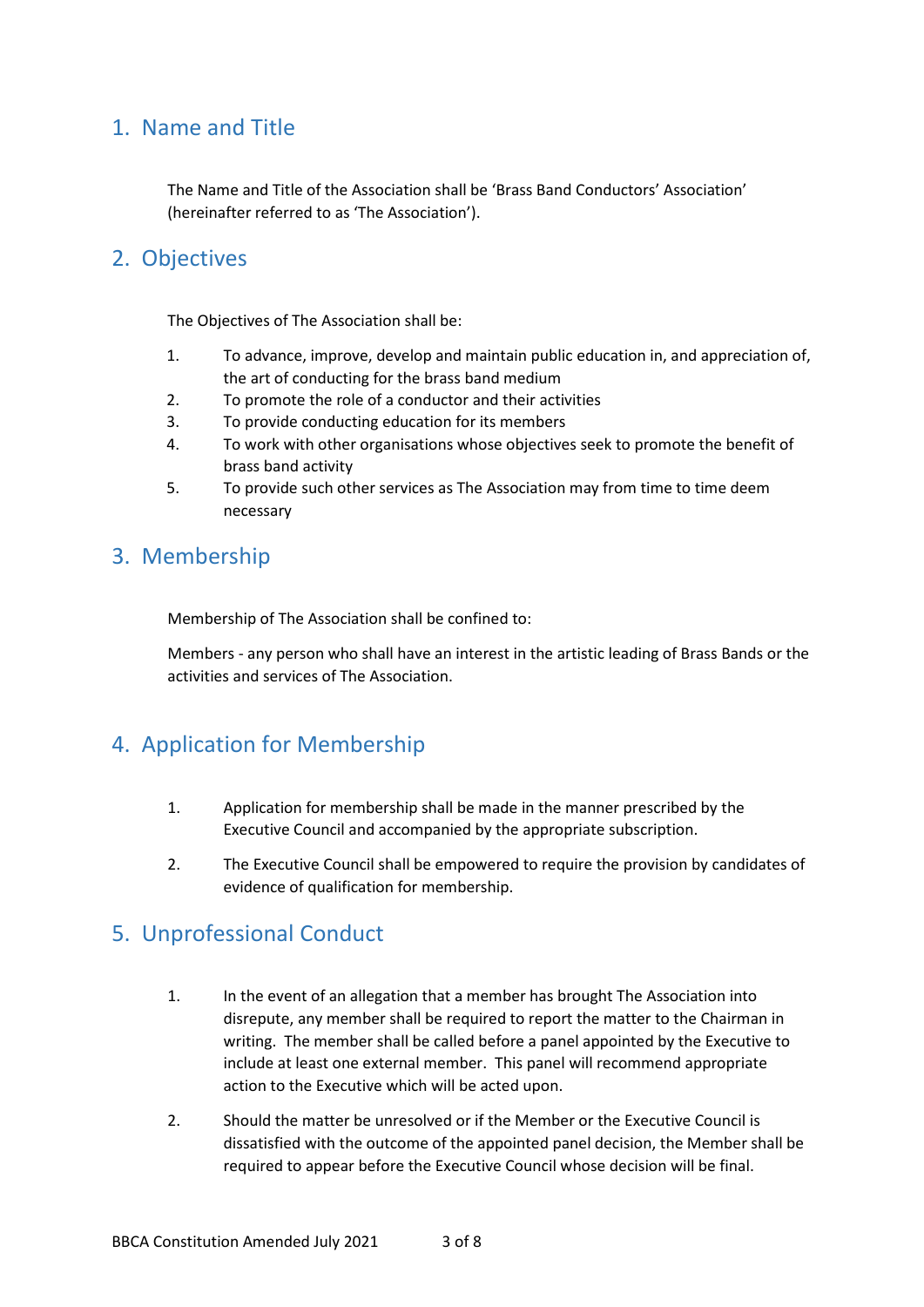#### <span id="page-2-0"></span>1. Name and Title

The Name and Title of the Association shall be 'Brass Band Conductors' Association' (hereinafter referred to as 'The Association').

#### <span id="page-2-1"></span>2. Objectives

The Objectives of The Association shall be:

- 1. To advance, improve, develop and maintain public education in, and appreciation of, the art of conducting for the brass band medium
- 2. To promote the role of a conductor and their activities
- 3. To provide conducting education for its members
- 4. To work with other organisations whose objectives seek to promote the benefit of brass band activity
- 5. To provide such other services as The Association may from time to time deem necessary

#### <span id="page-2-2"></span>3. Membership

Membership of The Association shall be confined to:

Members - any person who shall have an interest in the artistic leading of Brass Bands or the activities and services of The Association.

# <span id="page-2-3"></span>4. Application for Membership

- 1. Application for membership shall be made in the manner prescribed by the Executive Council and accompanied by the appropriate subscription.
- 2. The Executive Council shall be empowered to require the provision by candidates of evidence of qualification for membership.

# <span id="page-2-4"></span>5. Unprofessional Conduct

- 1. In the event of an allegation that a member has brought The Association into disrepute, any member shall be required to report the matter to the Chairman in writing. The member shall be called before a panel appointed by the Executive to include at least one external member. This panel will recommend appropriate action to the Executive which will be acted upon.
- 2. Should the matter be unresolved or if the Member or the Executive Council is dissatisfied with the outcome of the appointed panel decision, the Member shall be required to appear before the Executive Council whose decision will be final.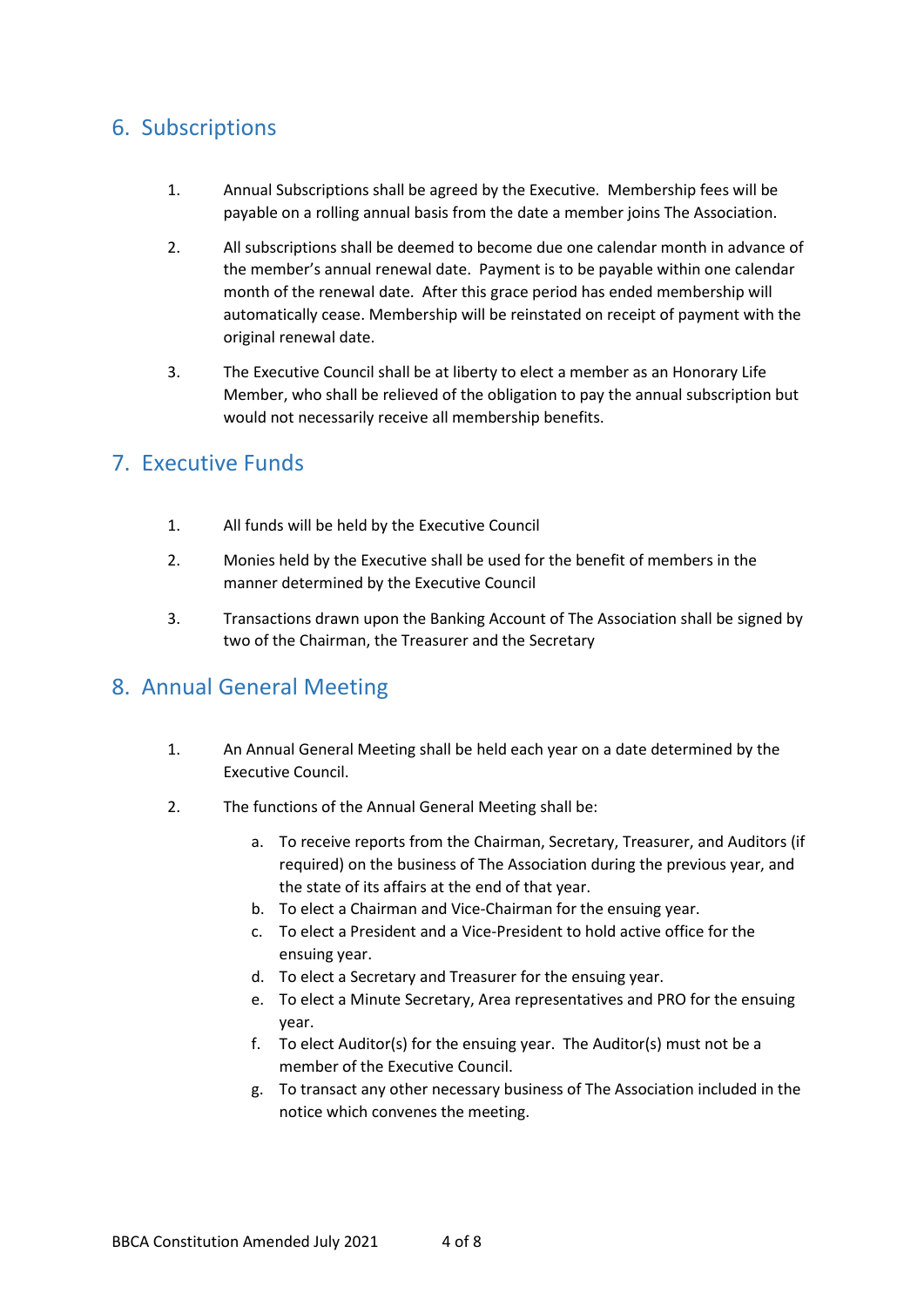# <span id="page-3-0"></span>6. Subscriptions

- 1. Annual Subscriptions shall be agreed by the Executive. Membership fees will be payable on a rolling annual basis from the date a member joins The Association.
- 2. All subscriptions shall be deemed to become due one calendar month in advance of the member's annual renewal date. Payment is to be payable within one calendar month of the renewal date. After this grace period has ended membership will automatically cease. Membership will be reinstated on receipt of payment with the original renewal date.
- 3. The Executive Council shall be at liberty to elect a member as an Honorary Life Member, who shall be relieved of the obligation to pay the annual subscription but would not necessarily receive all membership benefits.

# <span id="page-3-1"></span>7. Executive Funds

- 1. All funds will be held by the Executive Council
- 2. Monies held by the Executive shall be used for the benefit of members in the manner determined by the Executive Council
- 3. Transactions drawn upon the Banking Account of The Association shall be signed by two of the Chairman, the Treasurer and the Secretary

# <span id="page-3-2"></span>8. Annual General Meeting

- 1. An Annual General Meeting shall be held each year on a date determined by the Executive Council.
- 2. The functions of the Annual General Meeting shall be:
	- a. To receive reports from the Chairman, Secretary, Treasurer, and Auditors (if required) on the business of The Association during the previous year, and the state of its affairs at the end of that year.
	- b. To elect a Chairman and Vice-Chairman for the ensuing year.
	- c. To elect a President and a Vice-President to hold active office for the ensuing year.
	- d. To elect a Secretary and Treasurer for the ensuing year.
	- e. To elect a Minute Secretary, Area representatives and PRO for the ensuing year.
	- f. To elect Auditor(s) for the ensuing year. The Auditor(s) must not be a member of the Executive Council.
	- g. To transact any other necessary business of The Association included in the notice which convenes the meeting.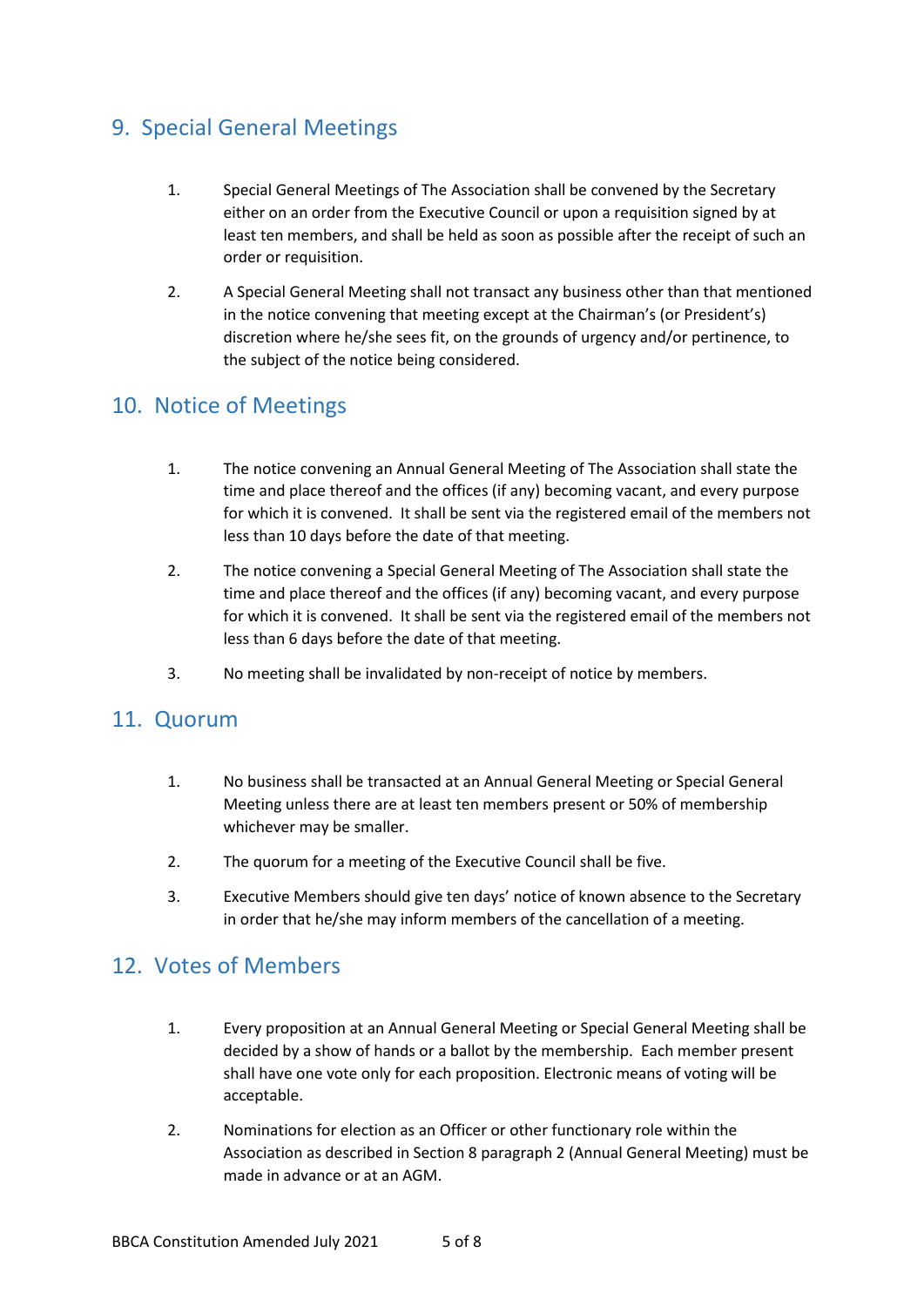# <span id="page-4-0"></span>9. Special General Meetings

- 1. Special General Meetings of The Association shall be convened by the Secretary either on an order from the Executive Council or upon a requisition signed by at least ten members, and shall be held as soon as possible after the receipt of such an order or requisition.
- 2. A Special General Meeting shall not transact any business other than that mentioned in the notice convening that meeting except at the Chairman's (or President's) discretion where he/she sees fit, on the grounds of urgency and/or pertinence, to the subject of the notice being considered.

# <span id="page-4-1"></span>10. Notice of Meetings

- 1. The notice convening an Annual General Meeting of The Association shall state the time and place thereof and the offices (if any) becoming vacant, and every purpose for which it is convened. It shall be sent via the registered email of the members not less than 10 days before the date of that meeting.
- 2. The notice convening a Special General Meeting of The Association shall state the time and place thereof and the offices (if any) becoming vacant, and every purpose for which it is convened. It shall be sent via the registered email of the members not less than 6 days before the date of that meeting.
- 3. No meeting shall be invalidated by non-receipt of notice by members.

#### <span id="page-4-2"></span>11. Quorum

- 1. No business shall be transacted at an Annual General Meeting or Special General Meeting unless there are at least ten members present or 50% of membership whichever may be smaller.
- 2. The quorum for a meeting of the Executive Council shall be five.
- 3. Executive Members should give ten days' notice of known absence to the Secretary in order that he/she may inform members of the cancellation of a meeting.

# <span id="page-4-3"></span>12. Votes of Members

- 1. Every proposition at an Annual General Meeting or Special General Meeting shall be decided by a show of hands or a ballot by the membership. Each member present shall have one vote only for each proposition. Electronic means of voting will be acceptable.
- 2. Nominations for election as an Officer or other functionary role within the Association as described in Section 8 paragraph 2 (Annual General Meeting) must be made in advance or at an AGM.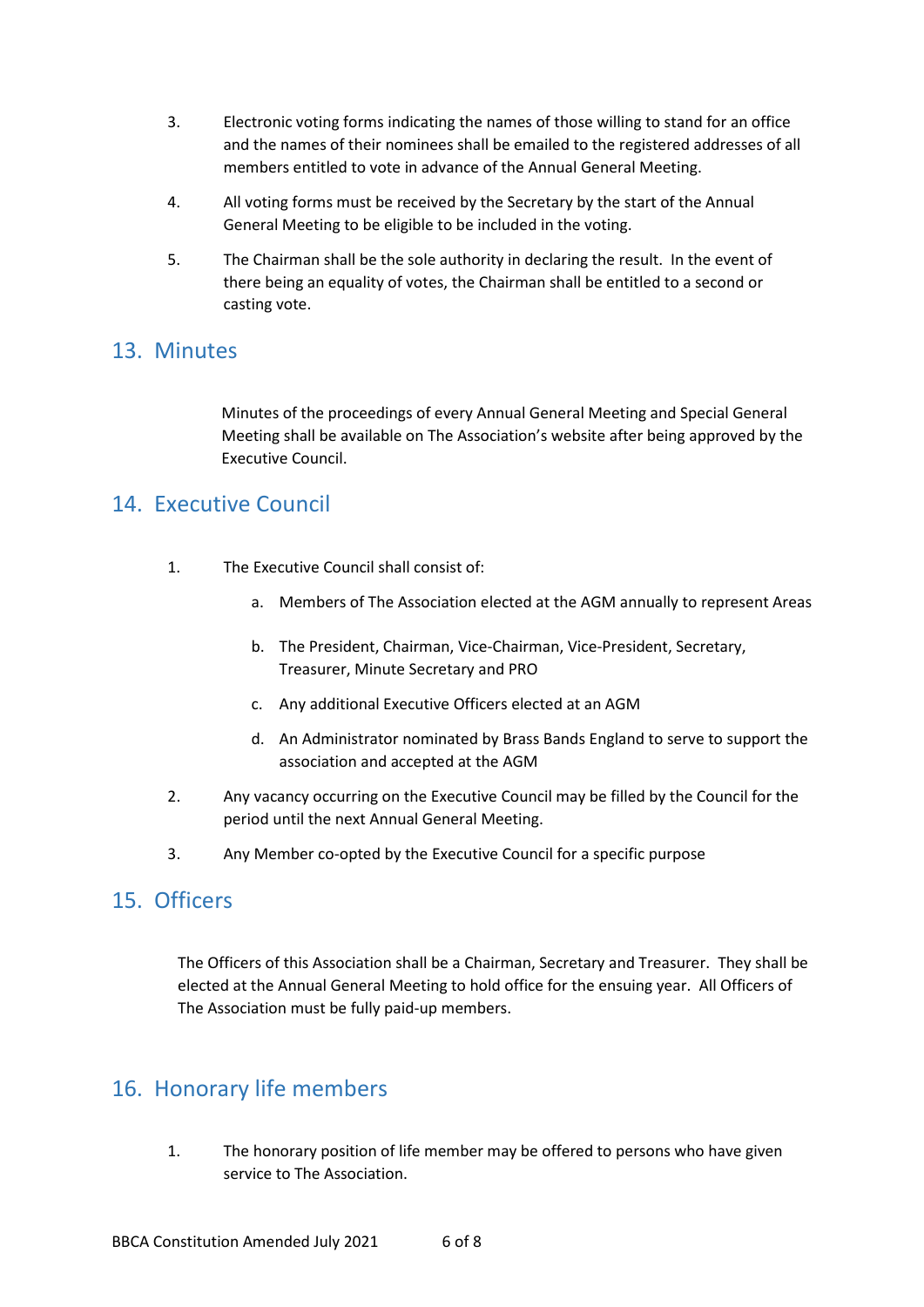- 3. Electronic voting forms indicating the names of those willing to stand for an office and the names of their nominees shall be emailed to the registered addresses of all members entitled to vote in advance of the Annual General Meeting.
- 4. All voting forms must be received by the Secretary by the start of the Annual General Meeting to be eligible to be included in the voting.
- 5. The Chairman shall be the sole authority in declaring the result. In the event of there being an equality of votes, the Chairman shall be entitled to a second or casting vote.

#### <span id="page-5-0"></span>13. Minutes

Minutes of the proceedings of every Annual General Meeting and Special General Meeting shall be available on The Association's website after being approved by the Executive Council.

# <span id="page-5-1"></span>14. Executive Council

- 1. The Executive Council shall consist of:
	- a. Members of The Association elected at the AGM annually to represent Areas
	- b. The President, Chairman, Vice-Chairman, Vice-President, Secretary, Treasurer, Minute Secretary and PRO
	- c. Any additional Executive Officers elected at an AGM
	- d. An Administrator nominated by Brass Bands England to serve to support the association and accepted at the AGM
- 2. Any vacancy occurring on the Executive Council may be filled by the Council for the period until the next Annual General Meeting.
- 3. Any Member co-opted by the Executive Council for a specific purpose

# <span id="page-5-2"></span>15. Officers

The Officers of this Association shall be a Chairman, Secretary and Treasurer. They shall be elected at the Annual General Meeting to hold office for the ensuing year. All Officers of The Association must be fully paid-up members.

# <span id="page-5-3"></span>16. Honorary life members

1. The honorary position of life member may be offered to persons who have given service to The Association.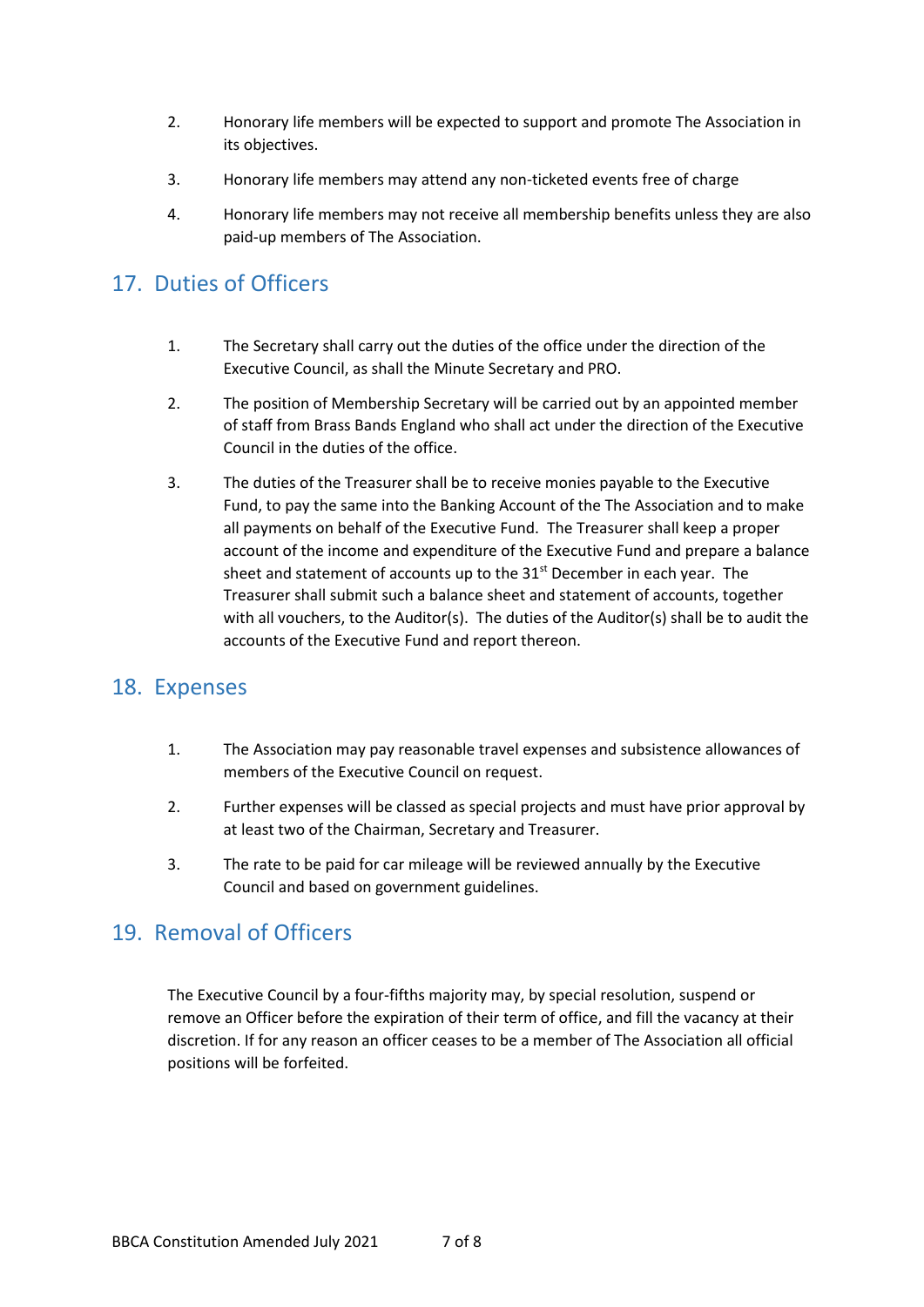- 2. Honorary life members will be expected to support and promote The Association in its objectives.
- 3. Honorary life members may attend any non-ticketed events free of charge
- 4. Honorary life members may not receive all membership benefits unless they are also paid-up members of The Association.

#### <span id="page-6-0"></span>17. Duties of Officers

- 1. The Secretary shall carry out the duties of the office under the direction of the Executive Council, as shall the Minute Secretary and PRO.
- 2. The position of Membership Secretary will be carried out by an appointed member of staff from Brass Bands England who shall act under the direction of the Executive Council in the duties of the office.
- 3. The duties of the Treasurer shall be to receive monies payable to the Executive Fund, to pay the same into the Banking Account of the The Association and to make all payments on behalf of the Executive Fund. The Treasurer shall keep a proper account of the income and expenditure of the Executive Fund and prepare a balance sheet and statement of accounts up to the 31<sup>st</sup> December in each year. The Treasurer shall submit such a balance sheet and statement of accounts, together with all vouchers, to the Auditor(s). The duties of the Auditor(s) shall be to audit the accounts of the Executive Fund and report thereon.

# <span id="page-6-1"></span>18. Expenses

- 1. The Association may pay reasonable travel expenses and subsistence allowances of members of the Executive Council on request.
- 2. Further expenses will be classed as special projects and must have prior approval by at least two of the Chairman, Secretary and Treasurer.
- 3. The rate to be paid for car mileage will be reviewed annually by the Executive Council and based on government guidelines.

# <span id="page-6-2"></span>19. Removal of Officers

The Executive Council by a four-fifths majority may, by special resolution, suspend or remove an Officer before the expiration of their term of office, and fill the vacancy at their discretion. If for any reason an officer ceases to be a member of The Association all official positions will be forfeited.